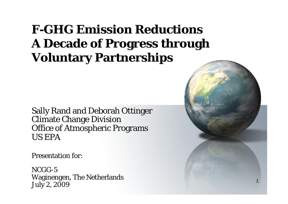## **F-GHG Emission ReductionsA Decade of Progress through Voluntary Partnerships**

Sally Rand and Deborah Ottinger Climate Change Division Office of Atmospheric Programs US EPA

Presentation for:

NCGG-5 Waginengen, The Netherlands July 2, 2009

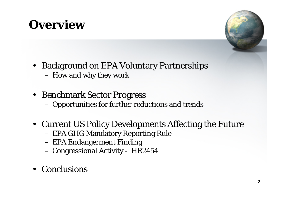## **Overview**



- Background on EPA Voluntary Partnerships How and why they work
- Benchmark Sector Progress Opportunities for further reductions and trends
- Current US Policy Developments Affecting the Future
	- EPA GHG Mandatory Reporting Rule
	- EPA Endangerment Finding
	- Congressional Activity HR2454
- •**Conclusions**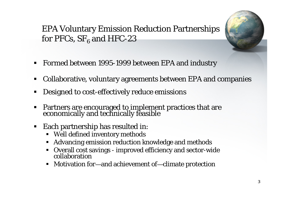### EPA Voluntary Emission Reduction Partnerships for PFCs,  $SF_{6}$  and HFC-23

- ٠ Formed between 1995-1999 between EPA and industry
- × Collaborative, voluntary agreements between EPA and companies
- ٠ Designed to cost-effectively reduce emissions
- ٠ Partners are encouraged to implement practices that are economically and technically feasible
- ٠ Each partnership has resulted in:
	- Well defined inventory methods
	- $\blacksquare$ Advancing emission reduction knowledge and methods
	- Overall cost savings improved efficiency and sector-wide collaboration
	- Motivation for —and achievement of—climate protection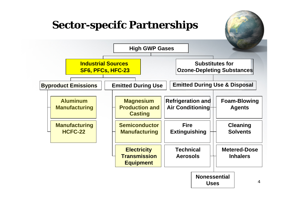### **Sector-specifc Partnerships**

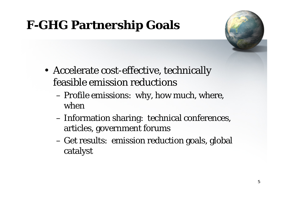# **F-GHG Partnership Goals**

- Accelerate cost-effective, technically feasible emission reductions
	- Profile emissions: why, how much, where, when
	- Information sharing: technical conferences, articles, government forums
	- Get results: emission reduction goals, global catalyst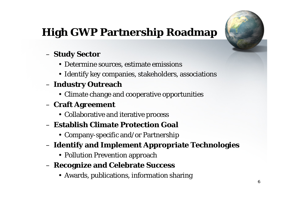## **High GWP Partnership Roadmap**



#### **Study Sector**

- Determine sources, estimate emissions
- Identify key companies, stakeholders, associations

### **Industry Outreach**

• Climate change and cooperative opportunities

### **Craft Agreement**

• Collaborative and iterative process

#### – **Establish Climate Protection Goal**

- Company-specific and/or Partnership
- **Identify and Implement Appropriate Technologies**
	- Pollution Prevention approach
- **Recognize and Celebrate Success**
	- Awards, publications, information sharing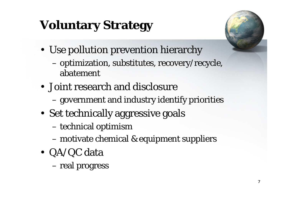# **Voluntary Strategy**

- Use pollution prevention hierarchy
	- – optimization, substitutes, recovery/recycle, abatement
- Joint research and disclosure
	- government and industry identify priorities
- Set technically aggressive goals
	- technical optimism
	- motivate chemical & equipment suppliers
- QA/QC data
	- –real progress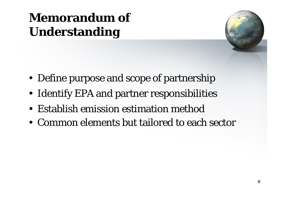# **Memorandum of Understanding**

- Define purpose and scope of partnership
- Identify EPA and partner responsibilities
- Establish emission estimation method
- Common elements but tailored to each sector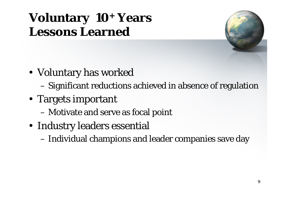## **Voluntary 10 + Years Lessons Learned**

- Voluntary has worked
	- Significant reductions achieved in absence of regulation
- Targets important
	- Motivate and serve as focal point
- Industry leaders essential
	- Individual champions and leader companies save day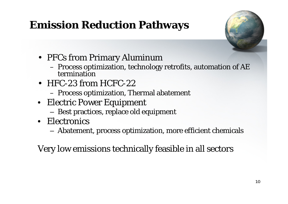## **Emission Reduction Pathways**



- PFCs from Primary Aluminum
	- Process optimization, technology retrofits, automation of AE termination
- HFC-23 from HCFC-22
	- Process optimization, Thermal abatement
- Electric Power Equipment
	- –Best practices, replace old equipment
- Electronics
	- –Abatement, process optimization, more efficient chemicals

Very low emissions technically feasible in all sectors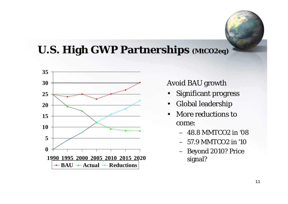### **U.S. High GWP Partnerships (MtCO2eq)**



Avoid BAU growth

- •Significant progress
- •Global leadership
- • More reductions to come:
	- 48.8 MMTCO2 in '08
	- 57.9 MMTCO2 in '10
	- Beyond 2010? Price signal?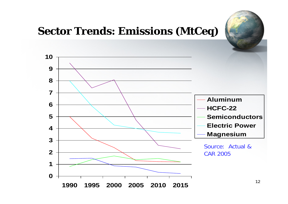#### **Sector Trends: Emissions (MtCeq) AluminumHCFC-22SemiconductorsElectric PowerMagnesium** Source: Actual & CAR 2005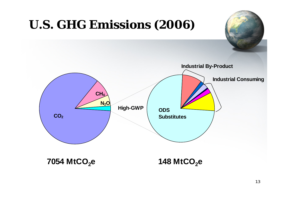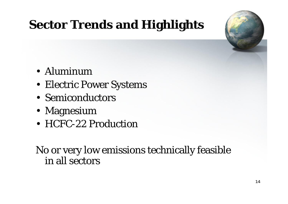# **Sector Trends and Highlights**

- Aluminum
- Electric Power Systems
- Semiconductors
- Magnesium
- HCFC-22 Production

No or very low emissions technically feasible in all sectors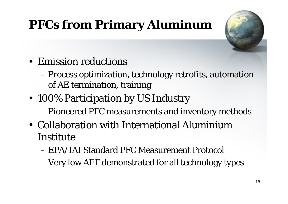# **PFCs from Primary Aluminum**

- Emission reductions
	- Process optimization, technology retrofits, automation of AE termination, training
- 100% Participation by US Industry
	- Pioneered PFC measurements and inventory methods
- Collaboration with International Aluminium Institute
	- EPA/IAI Standard PFC Measurement Protocol
	- Very low AEF demonstrated for all technology types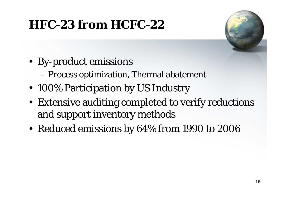## **HFC-23 from HCFC-22**

- By-product emissions
	- Process optimization, Thermal abatement
- 100% Participation by US Industry
- Extensive auditing completed to verify reductions and support inventory methods
- Reduced emissions by 64% from 1990 to 2006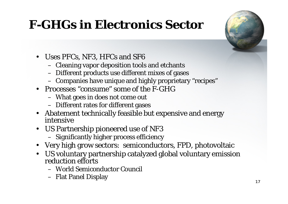# **F-GHGs in Electronics Sector**



- Uses PFCs, NF3, HFCs and SF6
	- Cleaning vapor deposition tools and etchants
	- Different products use different mixes of gases
	- Companies have unique and highly proprietary "recipes"
- Processes "consume" some of the F-GHG
	- What goes in does not come out
	- Different rates for different gases
- Abatement technically feasible but expensive and energy intensive
- US Partnership pioneered use of NF3
	- Significantly higher process efficiency
- Very high grow sectors: semiconductors, FPD, photovoltaic
- US voluntary partnership catalyzed global voluntary emission reduction efforts
	- World Semiconductor Council
	- Flat Panel Display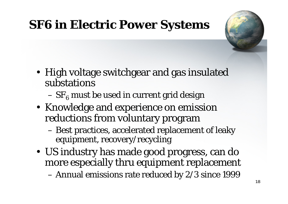# **SF6 in Electric Power Systems**

- High voltage switchgear and gas insulated substations
	- $-\,{\rm SF}_6$  must be used in current grid design
- Knowledge and experience on emission reductions from voluntary program
	- Best practices, accelerated replacement of leaky equipment, recovery/recycling
- US industry has made good progress, can do more especially thru equipment replacement –Annual emissions rate reduced by 2/3 since 1999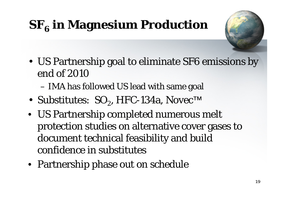# $\mathbf{SF_6}$  in Magnesium Production

- US Partnership goal to eliminate SF6 emissions by end of 2010
	- IMA has followed US lead with same goal
- Substitutes: SO $_2$ , HFC-134a, Novec™
- US Partnership completed numerous melt protection studies on alternative cover gases to document technical feasibility and build confidence in substitutes
- Partnership phase out on schedule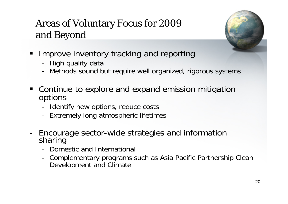### Areas of Voluntary Focus for 2009 and Beyond

- Improve inventory tracking and reporting
	- -High quality data
	- -Methods sound but require well organized, rigorous systems
- **Continue to explore and expand emission mitigation** options
	- -Identify new options, reduce costs
	- -Extremely long atmospheric lifetimes
- - Encourage sector-wide strategies and information sharing
	- Domestic and International
	- - Complementary programs such as Asia Pacific Partnership Clean Development and Climate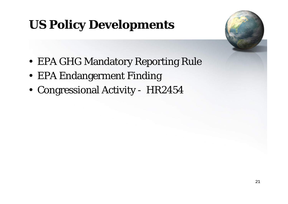# **US Policy Developments**

- EPA GHG Mandatory Reporting Rule
- EPA Endangerment Finding
- Congressional Activity HR2454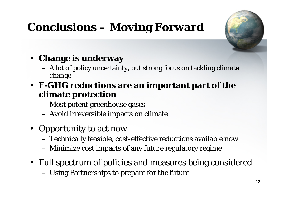## **Conclusions – Moving Forward**



### • **Change is underway**

- A lot of policy uncertainty, but strong focus on tackling climate change
- **F-GHG reductions are an important part of the climate protection**
	- Most potent greenhouse gases
	- Avoid irreversible impacts on climate
- Opportunity to act now
	- Technically feasible, cost-effective reductions available now
	- Minimize cost impacts of any future regulatory regime
- Full spectrum of policies and measures being considered Using Partnerships to prepare for the future